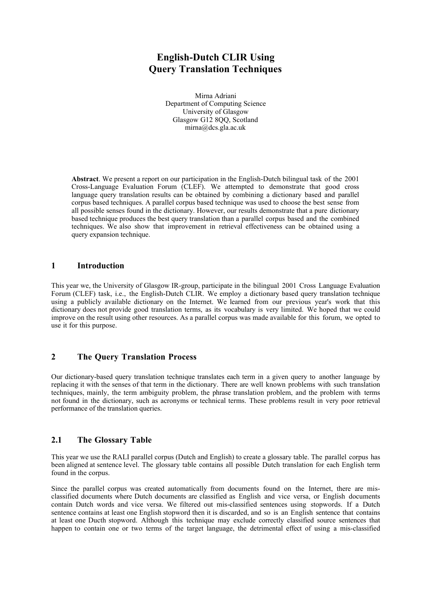# **English-Dutch CLIR Using Query Translation Techniques**

Mirna Adriani Department of Computing Science University of Glasgow Glasgow G12 8QQ, Scotland mirna@dcs.gla.ac.uk

**Abstract**. We present a report on our participation in the English-Dutch bilingual task of the 2001 Cross-Language Evaluation Forum (CLEF). We attempted to demonstrate that good cross language query translation results can be obtained by combining a dictionary based and parallel corpus based techniques. A parallel corpus based technique was used to choose the best sense from all possible senses found in the dictionary. However, our results demonstrate that a pure dictionary based technique produces the best query translation than a parallel corpus based and the combined techniques. We also show that improvement in retrieval effectiveness can be obtained using a query expansion technique.

#### **1 Introduction**

This year we, the University of Glasgow IR-group, participate in the bilingual 2001 Cross Language Evaluation Forum (CLEF) task, i.e., the English-Dutch CLIR. We employ a dictionary based query translation technique using a publicly available dictionary on the Internet. We learned from our previous year's work that this dictionary does not provide good translation terms, as its vocabulary is very limited. We hoped that we could improve on the result using other resources. As a parallel corpus was made available for this forum, we opted to use it for this purpose.

#### **2 The Query Translation Process**

Our dictionary-based query translation technique translates each term in a given query to another language by replacing it with the senses of that term in the dictionary. There are well known problems with such translation techniques, mainly, the term ambiguity problem, the phrase translation problem, and the problem with terms not found in the dictionary, such as acronyms or technical terms. These problems result in very poor retrieval performance of the translation queries.

# **2.1 The Glossary Table**

This year we use the RALI parallel corpus (Dutch and English) to create a glossary table. The parallel corpus has been aligned at sentence level. The glossary table contains all possible Dutch translation for each English term found in the corpus.

Since the parallel corpus was created automatically from documents found on the Internet, there are misclassified documents where Dutch documents are classified as English and vice versa, or English documents contain Dutch words and vice versa. We filtered out mis-classified sentences using stopwords. If a Dutch sentence contains at least one English stopword then it is discarded, and so is an English sentence that contains at least one Ducth stopword. Although this technique may exclude correctly classified source sentences that happen to contain one or two terms of the target language, the detrimental effect of using a mis-classified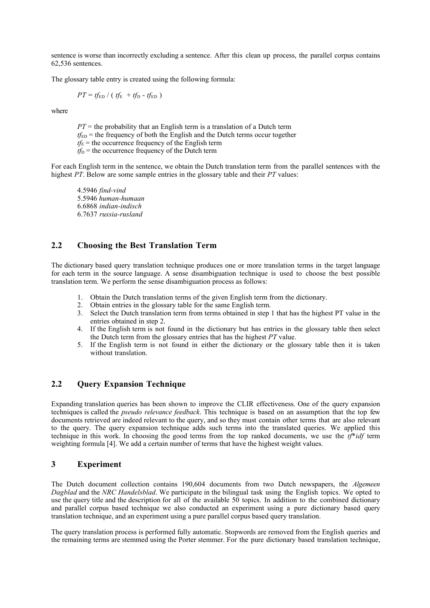sentence is worse than incorrectly excluding a sentence. After this clean up process, the parallel corpus contains 62,536 sentences.

The glossary table entry is created using the following formula:

 $PT = tf_{ED} / (tf_{E} + tf_{D} - tf_{ED})$ 

where

 $PT =$  the probability that an English term is a translation of a Dutch term  $t_{\text{ED}}$  = the frequency of both the English and the Dutch terms occur together  $t_f$ <sub>E</sub> = the occurrence frequency of the English term  $tf_D$  = the occurrence frequency of the Dutch term

For each English term in the sentence, we obtain the Dutch translation term from the parallel sentences with the highest *PT*. Below are some sample entries in the glossary table and their *PT* values:

4.5946 *find-vind* 5.5946 *human-humaan* 6.6868 *indian-indisch* 6.7637 *russia-rusland*

# **2.2 Choosing the Best Translation Term**

The dictionary based query translation technique produces one or more translation terms in the target language for each term in the source language. A sense disambiguation technique is used to choose the best possible translation term. We perform the sense disambiguation process as follows:

- 1. Obtain the Dutch translation terms of the given English term from the dictionary.
- 2. Obtain entries in the glossary table for the same English term.
- 3. Select the Dutch translation term from terms obtained in step 1 that has the highest PT value in the entries obtained in step 2.
- 4. If the English term is not found in the dictionary but has entries in the glossary table then select the Dutch term from the glossary entries that has the highest *PT* value.
- 5. If the English term is not found in either the dictionary or the glossary table then it is taken without translation.

# **2.2 Query Expansion Technique**

Expanding translation queries has been shown to improve the CLIR effectiveness. One of the query expansion techniques is called the *pseudo relevance feedback*. This technique is based on an assumption that the top few documents retrieved are indeed relevant to the query, and so they must contain other terms that are also relevant to the query. The query expansion technique adds such terms into the translated queries. We applied this technique in this work. In choosing the good terms from the top ranked documents, we use the *tf*\**idf* term weighting formula [4]. We add a certain number of terms that have the highest weight values.

#### **3 Experiment**

The Dutch document collection contains 190,604 documents from two Dutch newspapers, the *Algemeen Dagblad* and the *NRC Handelsblad*. We participate in the bilingual task using the English topics. We opted to use the query title and the description for all of the available 50 topics. In addition to the combined dictionary and parallel corpus based technique we also conducted an experiment using a pure dictionary based query translation technique, and an experiment using a pure parallel corpus based query translation.

The query translation process is performed fully automatic. Stopwords are removed from the English queries and the remaining terms are stemmed using the Porter stemmer. For the pure dictionary based translation technique,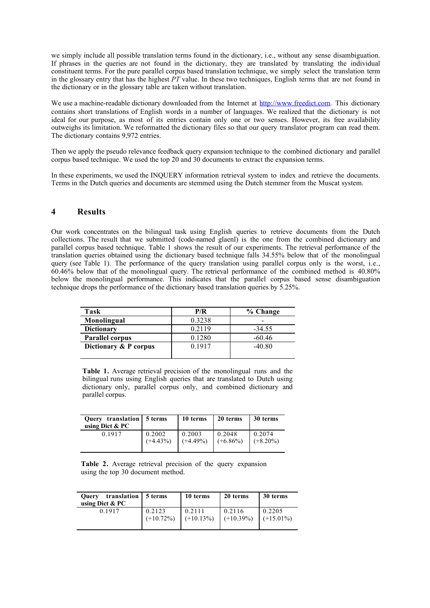we simply include all possible translation terms found in the dictionary, i.e., without any sense disambiguation. If phrases in the queries are not found in the dictionary, they are translated by translating the individual constituent terms. For the pure parallel corpus based translation technique, we simply select the translation term in the glossary entry that has the highest *PT* value. In these two techniques, English terms that are not found in the dictionary or in the glossary table are taken without translation.

We use a machine-readable dictionary downloaded from the Internet at http://www.freedict.com. This dictionary contains short translations of English words in a number of languages. We realized that the dictionary is not ideal for our purpose, as most of its entries contain only one or two senses. However, its free availability outweighs its limitation. We reformatted the dictionary files so that our query translator program can read them. The dictionary contains 9,972 entries.

Then we apply the pseudo relevance feedback query expansion technique to the combined dictionary and parallel corpus based technique. We used the top 20 and 30 documents to extract the expansion terms.

In these experiments, we used the INQUERY information retrieval system to index and retrieve the documents. Terms in the Dutch queries and documents are stemmed using the Dutch stemmer from the Muscat system.

## **4 Results**

Our work concentrates on the bilingual task using English queries to retrieve documents from the Dutch collections. The result that we submitted (code-named glaenl) is the one from the combined dictionary and parallel corpus based technique. Table 1 shows the result of our experiments. The retrieval performance of the translation queries obtained using the dictionary based technique falls 34.55% below that of the monolingual query (see Table 1). The performance of the query translation using parallel corpus only is the worst, i.e., 60.46% below that of the monolingual query. The retrieval performance of the combined method is 40.80% below the monolingual performance. This indicates that the parallel corpus based sense disambiguation technique drops the performance of the dictionary based translation queries by 5.25%.

| Task                   | P/R       | % Change |
|------------------------|-----------|----------|
| Monolingual            | 0.3238    |          |
| <b>Dictionary</b>      | 0.2119    | $-34.55$ |
| <b>Parallel corpus</b> | 0.1280    | $-60.46$ |
| Dictionary & P corpus  | 0 1 9 1 7 | $-40.80$ |
|                        |           |          |

**Table 1.** Average retrieval precision of the monolingual runs and the bilingual runs using English queries that are translated to Dutch using dictionary only, parallel corpus only, and combined dictionary and parallel corpus.

| Query translation 5 terms<br>using Dict $& PC$ |             | 10 terms    | 20 terms    | 30 terms    |
|------------------------------------------------|-------------|-------------|-------------|-------------|
| 0 1 9 1 7                                      | 0.2002      | 0.2003      | 0.2048      | 0.2074      |
|                                                | $(+4.43\%)$ | $(+4.49\%)$ | $(+6.86\%)$ | $(+8.20\%)$ |

**Table 2.** Average retrieval precision of the query expansion using the top 30 document method.

| translation<br><b>Ouery</b><br>using Dict $& PC$ | 15 terms     | 10 terms     | 20 terms     | 30 terms     |
|--------------------------------------------------|--------------|--------------|--------------|--------------|
| 0.1917                                           | 0.2123       | 0.2111       | 0.2116       | 0.2205       |
|                                                  | $(+10.72\%)$ | $(+10.13\%)$ | $(+10.39\%)$ | $(+15.01\%)$ |